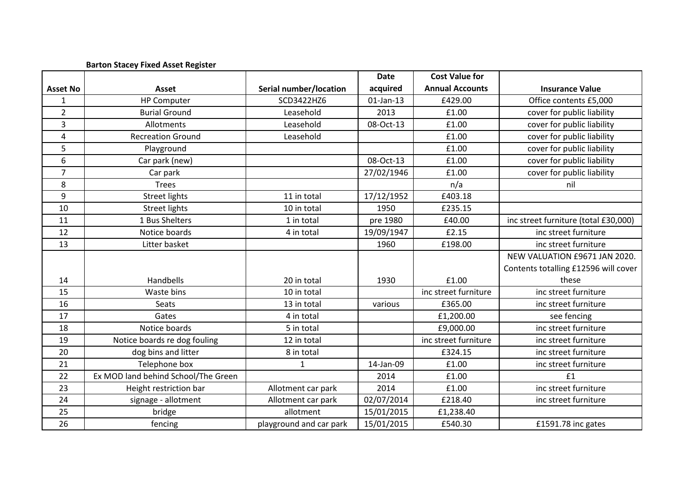|                 | <b>Barton Stacey Fixed Asset Register</b> |                         |              |                        |                                      |
|-----------------|-------------------------------------------|-------------------------|--------------|------------------------|--------------------------------------|
|                 |                                           |                         | <b>Date</b>  | <b>Cost Value for</b>  |                                      |
| <b>Asset No</b> | Asset                                     | Serial number/location  | acquired     | <b>Annual Accounts</b> | <b>Insurance Value</b>               |
| $\mathbf{1}$    | <b>HP Computer</b>                        | SCD3422HZ6              | $01$ -Jan-13 | £429.00                | Office contents £5,000               |
| $\overline{2}$  | <b>Burial Ground</b>                      | Leasehold               | 2013         | £1.00                  | cover for public liability           |
| 3               | Allotments                                | Leasehold               | 08-Oct-13    | £1.00                  | cover for public liability           |
| $\overline{4}$  | <b>Recreation Ground</b>                  | Leasehold               |              | £1.00                  | cover for public liability           |
| 5               | Playground                                |                         |              | £1.00                  | cover for public liability           |
| 6               | Car park (new)                            |                         | 08-Oct-13    | £1.00                  | cover for public liability           |
| $\overline{7}$  | Car park                                  |                         | 27/02/1946   | £1.00                  | cover for public liability           |
| 8               | <b>Trees</b>                              |                         |              | n/a                    | nil                                  |
| 9               | <b>Street lights</b>                      | 11 in total             | 17/12/1952   | £403.18                |                                      |
| 10              | <b>Street lights</b>                      | 10 in total             | 1950         | £235.15                |                                      |
| 11              | 1 Bus Shelters                            | 1 in total              | pre 1980     | £40.00                 | inc street furniture (total £30,000) |
| 12              | Notice boards                             | 4 in total              | 19/09/1947   | £2.15                  | inc street furniture                 |
| 13              | Litter basket                             |                         | 1960         | £198.00                | inc street furniture                 |
|                 |                                           |                         |              |                        | NEW VALUATION £9671 JAN 2020.        |
|                 |                                           |                         |              |                        | Contents totalling £12596 will cover |
| 14              | Handbells                                 | 20 in total             | 1930         | £1.00                  | these                                |
| 15              | Waste bins                                | 10 in total             |              | inc street furniture   | inc street furniture                 |
| 16              | Seats                                     | 13 in total             | various      | £365.00                | inc street furniture                 |
| 17              | Gates                                     | 4 in total              |              | £1,200.00              | see fencing                          |
| 18              | Notice boards                             | 5 in total              |              | £9,000.00              | inc street furniture                 |
| 19              | Notice boards re dog fouling              | 12 in total             |              | inc street furniture   | inc street furniture                 |
| 20              | dog bins and litter                       | 8 in total              |              | £324.15                | inc street furniture                 |
| 21              | Telephone box                             | 1                       | 14-Jan-09    | £1.00                  | inc street furniture                 |
| 22              | Ex MOD land behind School/The Green       |                         | 2014         | £1.00                  | £1                                   |
| 23              | Height restriction bar                    | Allotment car park      | 2014         | £1.00                  | inc street furniture                 |
| 24              | signage - allotment                       | Allotment car park      | 02/07/2014   | £218.40                | inc street furniture                 |
| 25              | bridge                                    | allotment               | 15/01/2015   | £1,238.40              |                                      |
| 26              | fencing                                   | playground and car park | 15/01/2015   | £540.30                | £1591.78 inc gates                   |